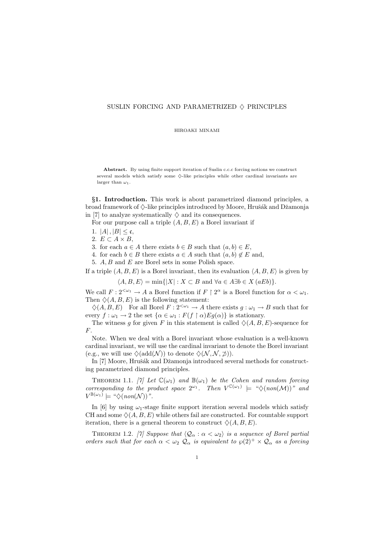## SUSLIN FORCING AND PARAMETRIZED  $\diamond$  PRINCIPLES

HIROAKI MINAMI

Abstract. By using finite support iteration of Suslin c.c.c forcing notions we construct several models which satisfy some  $\diamondsuit$ -like principles while other cardinal invariants are larger than  $\omega_1$ .

§1. Introduction. This work is about parametrized diamond principles, a broad framework of  $\Diamond$ -like principles introduced by Moore, Hrušák and Džamonja in [7] to analyze systematically  $\diamond$  and its consequences.

For our purpose call a triple  $(A, B, E)$  a Borel invariant if

- 1.  $|A|, |B| \leq \mathfrak{c},$
- 2.  $E \subset A \times B$ ,

3. for each  $a \in A$  there exists  $b \in B$  such that  $(a, b) \in E$ ,

4. for each  $b \in B$  there exists  $a \in A$  such that  $(a, b) \notin E$  and,

5. A, B and E are Borel sets in some Polish space.

If a triple  $(A, B, E)$  is a Borel invariant, then its evaluation  $\langle A, B, E \rangle$  is given by

 $\langle A, B, E \rangle = \min\{|X| : X \subset B \text{ and } \forall a \in A \exists b \in X \ (aEb)\}.$ 

We call  $F: 2^{\langle \omega_1} \to A$  a Borel function if  $F \upharpoonright 2^{\alpha}$  is a Borel function for  $\alpha < \omega_1$ . Then  $\Diamond$ (A, B, E) is the following statement:

 $\Diamond(A, B, E)$  For all Borel  $F : 2^{<\omega_1} \to A$  there exists  $g : \omega_1 \to B$  such that for every  $f : \omega_1 \to 2$  the set  $\{\alpha \in \omega_1 : F(f \restriction \alpha)Eg(\alpha)\}\$ is stationary.

The witness q for given F in this statement is called  $\Diamond(A, B, E)$ -sequence for F.

Note. When we deal with a Borel invariant whose evaluation is a well-known cardinal invariant, we will use the cardinal invariant to denote the Borel invariant (e.g., we will use  $\Diamond(\text{add}(\mathcal{N}))$  to denote  $\Diamond(\mathcal{N}, \mathcal{N}, \mathcal{D})$ ).

In [7] Moore, Hrušák and Džamonja introduced several methods for constructing parametrized diamond principles.

THEOREM 1.1. [7] Let  $\mathbb{C}(\omega_1)$  and  $\mathbb{B}(\omega_1)$  be the Cohen and random forcing corresponding to the product space  $2^{\omega_1}$ . Then  $V^{C(\omega_1)} \models "\Diamond(non(\mathcal{M}))"$  and  $V^{\mathbb{B}(\omega_1)} \models \text{``}\diamondsuit (non(\mathcal{N}))$ ".

In [6] by using  $\omega_1$ -stage finite support iteration several models which satisfy CH and some  $\Diamond$  (A, B, E) while others fail are constructed. For countable support iteration, there is a general theorem to construct  $\Diamond(A, B, E)$ .

THEOREM 1.2. [7] Suppose that  $\langle \mathcal{Q}_{\alpha} : \alpha < \omega_2 \rangle$  is a sequence of Borel partial orders such that for each  $\alpha < \omega_2 Q_\alpha$  is equivalent to  $\wp(2)^+ \times Q_\alpha$  as a forcing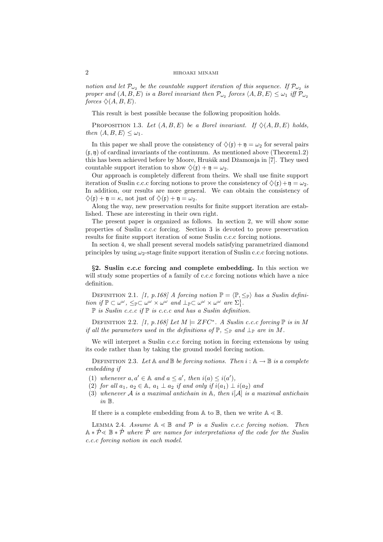notion and let  $\mathcal{P}_{\omega_2}$  be the countable support iteration of this sequence. If  $\mathcal{P}_{\omega_2}$  is proper and  $(A, B, E)$  is a Borel invariant then  $\mathcal{P}_{\omega_2}$  forces  $\langle A, B, E \rangle \leq \omega_1$  iff  $\mathcal{P}_{\omega_2}$ forces  $\Diamond$  (A, B, E).

This result is best possible because the following proposition holds.

PROPOSITION 1.3. Let  $(A, B, E)$  be a Borel invariant. If  $\Diamond(A, B, E)$  holds, then  $\langle A, B, E \rangle \leq \omega_1$ .

In this paper we shall prove the consistency of  $\Diamond(\mathfrak{x}) + \mathfrak{y} = \omega_2$  for several pairs  $(x, \eta)$  of cardinal invariants of the continuum. As mentioned above (Theorem1.2) this has been achieved before by Moore, Hrušák and Džamonja in [7]. They used countable support iteration to show  $\Diamond(\mathfrak{x}) + \mathfrak{y} = \omega_2$ .

Our approach is completely different from theirs. We shall use finite support iteration of Suslin c.c.c forcing notions to prove the consistency of  $\Diamond(\mathfrak{x})+\mathfrak{y}=\omega_2$ . In addition, our results are more general. We can obtain the consistency of  $\Diamond(\mathfrak{x}) + \mathfrak{y} = \kappa$ , not just of  $\Diamond(\mathfrak{x}) + \mathfrak{y} = \omega_2$ .

Along the way, new preservation results for finite support iteration are established. These are interesting in their own right.

The present paper is organized as follows. In section 2, we will show some properties of Suslin c.c.c forcing. Section 3 is devoted to prove preservation results for finite support iteration of some Suslin c.c.c forcing notions.

In section 4, we shall present several models satisfying parametrized diamond principles by using  $\omega_2$ -stage finite support iteration of Suslin c.c.c forcing notions.

§2. Suslin c.c.c forcing and complete embedding. In this section we will study some properties of a family of c.c.c forcing notions which have a nice definition.

DEFINITION 2.1. [1, p.168] A forcing notion  $\mathbb{P} = \langle \mathbb{P}, \leq_{\mathbb{P}} \rangle$  has a Suslin definition if  $\mathbb{P} \subset \omega^{\omega}$ ,  $\leq_{\mathbb{P}} \subset \omega^{\omega} \times \omega^{\omega}$  and  $\perp_{\mathbb{P}} \subset \omega^{\omega} \times \omega^{\omega}$  are  $\Sigma_1^1$ .

 $\mathbb P$  is Suslin c.c.c if  $\mathbb P$  is c.c.c and has a Suslin definition.

DEFINITION 2.2. [1, p.168] Let  $M \models ZFC^*$ . A Suslin c.c.c forcing  $\mathbb P$  is in M if all the parameters used in the definitions of  $\mathbb{P}, \leq_{\mathbb{P}}$  and  $\perp_{\mathbb{P}}$  are in M.

We will interpret a Suslin c.c.c forcing notion in forcing extensions by using its code rather than by taking the ground model forcing notion.

DEFINITION 2.3. Let A and B be forcing notions. Then  $i : A \rightarrow B$  is a complete embedding if

- (1) whenever  $a, a' \in \mathbb{A}$  and  $a \leq a'$ , then  $i(a) \leq i(a')$ ,
- (2) for all  $a_1, a_2 \in \mathbb{A}$ ,  $a_1 \perp a_2$  if and only if  $i(a_1) \perp i(a_2)$  and
- (3) whenever A is a maximal antichain in  $\mathbb{A}$ , then  $i[\mathcal{A}]$  is a maximal antichain in B.

If there is a complete embedding from A to B, then we write  $A \leq B$ .

LEMMA 2.4. Assume  $A \leq B$  and P is a Suslin c.c.c forcing notion. Then  $A * P \leq B * P$  where  $\dot{P}$  are names for interpretations of the code for the Suslin c.c.c forcing notion in each model.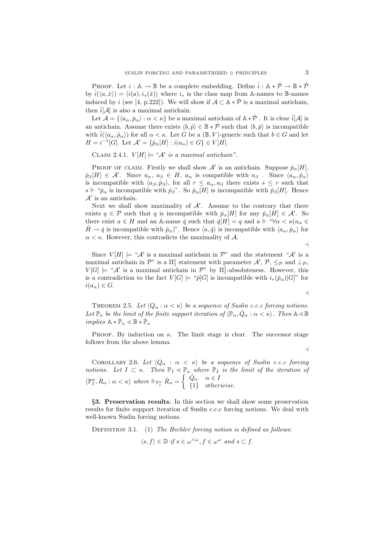PROOF. Let  $i : \mathbb{A} \to \mathbb{B}$  be a complete embedding. Define  $\hat{i} : \mathbb{A} * \mathcal{P} \to \mathbb{B} * \mathcal{P}$ by  $\hat{i}(\langle a, \dot{x}\rangle) = \langle i(a), i_*(\dot{x})\rangle$  where  $i_*$  is the class map from A-names to B-names induced by i (see [4, p.222]). We will show if  $A \subset \mathbb{A} * \dot{P}$  is a maximal antichain, then  $\hat{i}[\mathcal{A}]$  is also a maximal antichain.

Let  $\mathcal{A} = \{ \langle a_\alpha, \dot{p}_\alpha \rangle : \alpha < \kappa \}$  be a maximal antichain of  $\mathbb{A} * \dot{\mathcal{P}}$  . It is clear  $\hat{i}[\mathcal{A}]$  is an antichain. Assume there exists  $\langle b, \dot{p} \rangle \in \mathbb{B} * \dot{\mathcal{P}}$  such that  $\langle b, \dot{p} \rangle$  is incompatible with  $\hat{i}(\langle a_{\alpha}, \dot{p}_{\alpha} \rangle)$  for all  $\alpha < \kappa$ . Let G be a  $(\mathbb{B}, V)$ -generic such that  $b \in G$  and let  $H = i^{-1}[G]$ . Let  $\mathcal{A}' = \{ \dot{p}_{\alpha}[H] : i(a_{\alpha}) \in G \} \in V[H]$ .

CLAIM 2.4.1.  $V[H] \models ``\mathcal{A}'$  is a maximal antichain".

PROOF OF CLAIM. Firstly we shall show  $\mathcal{A}'$  is an antichain. Suppose  $\dot{p}_{\alpha}[H]$ ,  $\dot{p}_{\beta}[H] \in \mathcal{A}'$ . Since  $a_{\alpha}, a_{\beta} \in H$ ,  $a_{\alpha}$  is compatible with  $a_{\beta}$ . Since  $\langle a_{\alpha}, \dot{p}_{\alpha} \rangle$ is incompatible with  $\langle a_{\beta}, \dot{p}_{\beta} \rangle$ , for all  $r \leq a_{\alpha}, a_{\beta}$  there exists  $s \leq r$  such that s  $\Vdash \phi_{\alpha}$  is incompatible with  $\dot{p}_{\beta}$ ". So  $\dot{p}_{\alpha}[H]$  is incompatible with  $\dot{p}_{\beta}[H]$ . Hence  $\mathcal{A}'$  is an antichain.

Next we shall show maximality of  $\mathcal{A}'$ . Assume to the contrary that there exists  $q \in \mathcal{P}$  such that q is incompatible with  $\dot{p}_{\alpha}[H]$  for any  $\dot{p}_{\alpha}[H] \in \mathcal{A}'$ . So there exist  $a \in H$  and an A-name  $\dot{q}$  such that  $\dot{q}[H] = q$  and  $a \Vdash \mathcal{A} \otimes \kappa (a_{\alpha} \in$  $H \to \dot{q}$  is incompatible with  $\dot{p}_{\alpha}$ )". Hence  $\langle a, \dot{q} \rangle$  is incompatible with  $\langle a_{\alpha}, \dot{p}_{\alpha} \rangle$  for  $\alpha < \kappa$ . However, this contradicts the maximality of A.

 $\overline{a}$ 

Since  $V[H] \models "A'$  is a maximal antichain in  $\mathcal{P}$ " and the statement " $A'$  is a maximal antichain in  $\mathcal{P}$ " is a  $\Pi_1^1$  statement with parameter  $\mathcal{A}', \mathcal{P}, \leq_{\mathcal{P}}$  and  $\perp_{\mathcal{P}},$  $V[G] \models \text{``A' is a maximal antichain in P'' by } \Pi_1^1$ -absoluteness. However, this is a contradiction to the fact  $V[G] \models "p[G]$  is incompatible with  $i_*(\dot{p}_\alpha)[G]$ " for  $i(a_{\alpha}) \in G$ .  $\overline{a}$ 

THEOREM 2.5. Let  $\langle Q_\alpha : \alpha < \kappa \rangle$  be a sequence of Suslin c.c.c forcing notions. Let  $\mathbb{P}_{\kappa}$  be the limit of the finite support iteration of  $\langle \mathbb{P}_{\alpha}, \dot{Q}_{\alpha} : \alpha < \kappa \rangle$ . Then  $\mathbb{A} \leq \mathbb{B}$ implies  $\mathbb{A}\ast\dot{\mathbb{P}}_\kappa\lessdot\mathbb{B}\ast\dot{\mathbb{P}}_\kappa$ 

PROOF. By induction on  $\kappa$ . The limit stage is clear. The successor stage follows from the above lemma.

 $\overline{a}$ 

COROLLARY 2.6. Let  $\langle Q_\alpha : \alpha \langle \kappa \rangle$  be a sequence of Suslin c.c.c forcing notions. Let  $I \subset \kappa$ . Then  $\mathbb{P}_I \prec \mathbb{P}_\kappa$  where  $\mathbb{P}_I$  is the limit of the iteration of  $\langle \mathbb{P}^{\alpha}_I, \dot{R}_{\alpha}:\alpha<\kappa \rangle$  where  $\Vdash_{\mathbb{P}^{\alpha}_I} \dot{R}_{\alpha} =$  $\int_{a}^{\mathbb{P}_{\kappa}} \dot{Q}_{\alpha}$   $\alpha \in I$ {1} otherwise.

§3. Preservation results. In this section we shall show some preservation results for finite support iteration of Suslin c.c.c forcing notions. We deal with well-known Suslin forcing notions.

DEFINITION 3.1. (1) The Hechler forcing notion is defined as follows:  $\langle s, f \rangle \in \mathbb{D}$  if  $s \in \omega^{\lt \omega}, f \in \omega^\omega$  and  $s \subset f$ .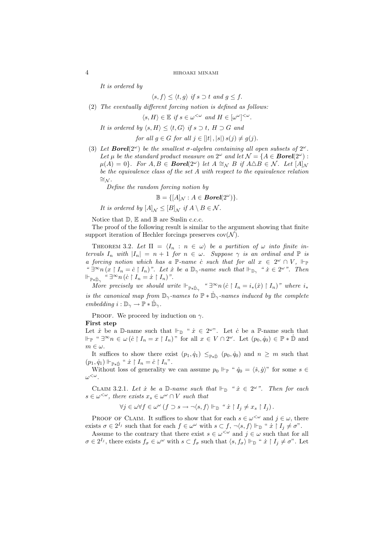It is ordered by

 $\langle s, f \rangle \le \langle t, q \rangle$  if  $s \supset t$  and  $q \le f$ .

(2) The eventually different forcing notion is defined as follows:

 $\langle s, H \rangle \in \mathbb{E} \text{ if } s \in \omega^{\leq \omega} \text{ and } H \in [\omega^\omega]^{<\omega}.$ 

It is ordered by  $\langle s, H \rangle \le \langle t, G \rangle$  if  $s \supset t$ ,  $H \supset G$  and

for all  $q \in G$  for all  $j \in [|t|, |s|) s(j) \neq q(j)$ .

(3) Let **Borel** $(2^{\omega})$  be the smallest  $\sigma$ -algebra containing all open subsets of  $2^{\omega}$ . Let  $\mu$  be the standard product measure on  $2^{\omega}$  and let  $\mathcal{N} = \{A \in \mathbf{Borel}(2^{\omega})$ :  $\mu(A) = 0$ . For  $A, B \in B$ orel $(2^{\omega})$  let  $A \cong_{\mathcal{N}} B$  if  $A \triangle B \in \mathcal{N}$ . Let  $[A]_{\mathcal{N}}$ be the equivalence class of the set A with respect to the equivalence relation  $cong_{\mathcal{N}}$ .

Define the random forcing notion by

 $\mathbb{B} = \{ [A]_{\mathcal{N}} : A \in \mathit{Borel}(2^{\omega}) \}.$ 

It is ordered by  $[A]_{N} \leq [B]_{N}$  if  $A \setminus B \in \mathcal{N}$ .

Notice that  $\mathbb{D}, \mathbb{E}$  and  $\mathbb{B}$  are Suslin c.c.c.

The proof of the following result is similar to the argument showing that finite support iteration of Hechler forcings preserves  $cov(\mathcal{N})$ .

THEOREM 3.2. Let  $\Pi = \langle I_n : n \in \omega \rangle$  be a partition of  $\omega$  into finite intervals  $I_n$  with  $|I_n| = n + 1$  for  $n \in \omega$ . Suppose  $\gamma$  is an ordinal and  $\mathbb P$  is a forcing notion which has a P-name c such that for all  $x \in 2^{\omega} \cap V$ ,  $\Vdash_{\mathbb{P}}$ "  $\exists^{\infty} n (x \restriction I_n = c \restriction I_n)$ ". Let  $\dot{x}$  be a  $\mathbb{D}_{\gamma}$ -name such that  $\Vdash_{\mathbb{D}_{\gamma}}$  " $\dot{x} \in 2^{\omega}$ ". Then  $\Vdash_{\mathbb{P} * \dot{\mathbb{D}}_{\gamma}}$  "  $\exists^{\infty} n (\dot{c} \restriction I_n = \dot{x} \restriction I_n)$ ".

More precisely we should write  $\Vdash_{\mathbb{P}*\dot{\mathbb{D}}_{\gamma}}$  " $\exists^{\infty} n (\dot{c} \restriction I_n = i_*(\dot{x}) \restriction I_n)$ " where  $i_*$ is the canonical map from  $\mathbb{D}_{\gamma}$ -names to  $\mathbb{P} * \dot{\mathbb{D}}_{\gamma}$ -names induced by the complete embedding  $i : \mathbb{D}_{\gamma} \to \mathbb{P} * \dot{\mathbb{D}}_{\gamma}$ .

PROOF. We proceed by induction on  $\gamma$ .

## First step

Let  $\dot{x}$  be a D-name such that  $\Vdash_{\mathbb{D}}$  " $\dot{x} \in 2^{\omega}$ ". Let  $\dot{c}$  be a P-name such that  $\Vdash_{\mathbb{P}}$  "  $\exists^{\infty} n \in \omega (\dot{c} \upharpoonright I_n = x \upharpoonright I_n)$ " for all  $x \in V \cap 2^{\omega}$ . Let  $(p_0, \dot{q}_0) \in \mathbb{P} * \dot{\mathbb{D}}$  and  $m \in \omega$ .

It suffices to show there exist  $(p_1, \dot{q}_1) \leq_{\mathbb{P} * \dot{\mathbb{D}}} (p_0, \dot{q}_0)$  and  $n \geq m$  such that  $(p_1, \dot{q}_1) \Vdash_{\mathbb{P} * \dot{\mathbb{D}}}$  "  $\dot{x} \restriction I_n = \dot{c} \restriction I_n$ ".

Without loss of generality we can assume  $p_0 \Vdash_{\mathbb{P}} " \dot{q}_0 = \langle \dot{s}, \dot{q} \rangle"$  for some  $s \in$  $\omega^{<\omega}$ .

CLAIM 3.2.1. Let  $\dot{x}$  be a D-name such that  $\Vdash_{\mathbb{D}}$  " $\dot{x} \in 2^{\omega}$ ". Then for each  $s \in \omega^{\lt \omega}$ , there exists  $x_s \in \omega^\omega \cap V$  such that

$$
\forall j \in \omega \forall f \in \omega^{\omega} \ (f \supset s \to \neg \langle s, f \rangle \Vdash_{\mathbb{D}} \text{``$\dot{x} \restriction I_j \neq x_s \restriction I_j$)}.
$$

PROOF OF CLAIM. It suffices to show that for each  $s \in \omega^{\leq \omega}$  and  $j \in \omega$ , there exists  $\sigma \in 2^{I_j}$  such that for each  $f \in \omega^\omega$  with  $s \subset f, \neg \langle s, f \rangle \Vdash_{\mathbb{D}} "x \upharpoonright I_j \neq \sigma$ ".

Assume to the contrary that there exist  $s \in \omega^{\langle \omega \rangle}$  and  $j \in \omega$  such that for all  $\sigma \in 2^{I_j}$ , there exists  $f_{\sigma} \in \omega^{\omega}$  with  $s \subset f_{\sigma}$  such that  $\langle s, f_{\sigma} \rangle \Vdash_{\mathbb{D}}$  "  $\dot{x} \restriction I_j \neq \sigma$ ". Let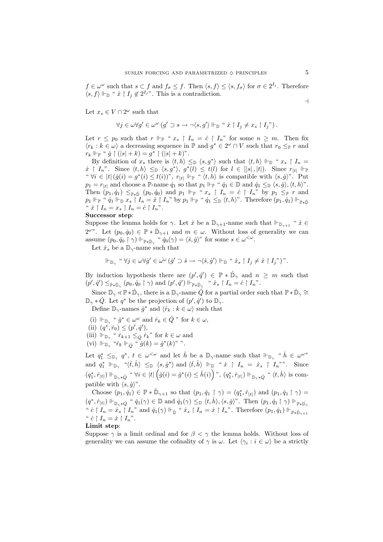$f \in \omega^{\omega}$  such that  $s \subset f$  and  $f_{\sigma} \leq f$ . Then  $\langle s, f \rangle \leq \langle s, f_{\sigma} \rangle$  for  $\sigma \in 2^{I_j}$ . Therefore  $\langle s, f \rangle \Vdash_{\mathbb{D}}$  "  $\dot{x} \restriction I_j \notin 2^{I_j}$ ". This is a contradiction.

Let  $x_s \in V \cap 2^{\omega}$  such that

$$
\forall j \in \omega \forall g' \in \omega^{\omega} \ (g' \supset s \to \neg \langle s, g' \rangle \Vdash_{\mathbb{D}} " x \upharpoonright I_j \neq x_s \upharpoonright I_j" ).
$$

Let  $r \leq p_0$  such that  $r \Vdash_{\mathbb{P}} " x_s \upharpoonright I_n = \dot{c} \upharpoonright I_n"$  for some  $n \geq m$ . Then fix  $\langle r_k : k \in \omega \rangle$  a decreasing sequence in  $\mathbb P$  and  $g^* \in 2^{\omega} \cap V$  such that  $r_0 \leq_{\mathbb P} r$  and  $r_k \Vdash_{\mathbb{P}} \text{`` } \dot{g} \upharpoonright (|s| + k) = g^* \upharpoonright (|s| + k)$ ".

By definition of  $x_s$  there is  $\langle t, h \rangle \leq_{\mathbb{D}} \langle s, g^* \rangle$  such that  $\langle t, h \rangle \Vdash_{\mathbb{D}} " x_s \upharpoonright I_n =$  $\dot{x} \restriction I_n$ ". Since  $\langle t, h \rangle \leq \mathbb{D} \langle s, g^* \rangle$ ,  $g^*(l) \leq t(l)$  for  $l \in [|s|, |t|)$ . Since  $r_{|t|}$   $\Vdash_{\mathbb{P}}$ "  $\forall i \in |t| (g(i) = g^*(i) \leq t(i))^{\nu}, r_{|t|} \Vdash_{\mathbb{P}} " \langle t, h \rangle$  is compatible with  $\langle s, g \rangle^{\nu}$ . Put  $p_1 = r_{|t|}$  and choose a P-name  $\dot{q}_1$  so that  $p_1 \Vdash_{\mathbb{P}} " \dot{q}_1 \in \mathbb{D}$  and  $\dot{q}_1 \leq_{\mathbb{D}} \langle s, \dot{g} \rangle, \langle t, h \rangle$ ". Then  $(p_1, \dot{q}_1) \leq_{\mathbb{P} * \dot{\mathbb{D}}} (p_0, \dot{q}_0)$  and  $p_1 \Vdash_{\mathbb{P}} " x_s \upharpoonright I_n = \dot{c} \upharpoonright I_n"$  by  $p_1 \leq_{\mathbb{P}} r$  and  $p_1 \Vdash_{\mathbb{P}} \text{`` } \dot{q}_1 \Vdash_{\mathbb{D}} x_s \restriction I_n = \dot{x} \restriction I_n$ " by  $p_1 \Vdash_{\mathbb{P}} \text{`` } \dot{q}_1 \leq_{\mathbb{D}} \langle t, h \rangle$ ". Therefore  $(p_1, \dot{q}_1) \Vdash_{\mathbb{P}_{\ast} \dot{\mathbb{D}}}$ "  $\dot{x} \restriction I_n = x_s \restriction I_n = \dot{c} \restriction I_n$ ".

## Successor step:

Suppose the lemma holds for  $\gamma$ . Let  $\dot{x}$  be a  $\mathbb{D}_{\gamma+1}$ -name such that  $\mathbb{F}_{\mathbb{D}_{\gamma+1}}$  " $\dot{x} \in$  $2^{\omega}$ . Let  $(p_0, q_0) \in \mathbb{P} * \dot{\mathbb{D}}_{\gamma+1}$  and  $m \in \omega$ . Without loss of generality we can assume  $(p_0, \dot{q}_0 \restriction \gamma) \Vdash_{\mathbb{P} * \dot{\mathbb{D}}_\gamma} \text{`` } \dot{q}_0(\gamma) = \langle \check{s}, \dot{g} \rangle$ " for some  $s \in \omega^{\langle \omega \rangle}$ .

Let  $\dot{x}_s$  be a  $\mathbb{D}_{\gamma}$ -name such that

$$
\Vdash_{\mathbb{D}_{\gamma}} \text{``}\forall j \in \omega \forall \dot{g}' \in \omega^{\omega} \left( \dot{g}' \supset \check{s} \rightarrow \neg \langle \check{s}, \dot{g}' \rangle \Vdash_{\mathbb{D}} \text{``}\dot{x}_s \upharpoonright I_j \neq \dot{x} \upharpoonright I_j \text{''}\right) \text{''}.
$$

By induction hypothesis there are  $(p', \dot{q}') \in \mathbb{P} * \dot{\mathbb{D}}_{\gamma}$  and  $n \geq m$  such that  $(p', \dot{q}') \leq_{\mathbb{P} * \dot{\mathbb{D}}_{\gamma}} (p_0, \dot{q}_0 \restriction \gamma)$  and  $(p', \dot{q}') \Vdash_{\mathbb{P} * \dot{\mathbb{D}}_{\gamma}} " \dot{x}_s \restriction I_n = \dot{c} \restriction I_n"$ .

Since  $\mathbb{D}_{\gamma} \leq \mathbb{P} * \dot{\mathbb{D}}_{\gamma}$ , there is a  $\mathbb{D}_{\gamma}$ -name  $\dot{Q}$  for a partial order such that  $\mathbb{P} * \dot{\mathbb{D}}_{\gamma} \cong$  $\mathbb{D}_{\gamma} * \dot{Q}$ . Let  $q^*$  be the projection of  $(p', \dot{q}')$  to  $\mathbb{D}_{\gamma}$ .

Define  $\mathbb{D}_{\gamma}$ -names  $\dot{g}^*$  and  $\langle \dot{r}_k : k \in \omega \rangle$  such that

- (i)  $\Vdash_{\mathbb{D}_\gamma}$  "  $\dot{g}^* \in \omega^\omega$  and  $\dot{r}_k \in \dot{Q}$  " for  $k \in \omega$ ,
- (ii)  $(q^*, \dot{r}_0) \leq (p', \dot{q}'),$

(iii)  $\Vdash_{\mathbb{D}_\gamma}$  "  $\dot{r}_{k+1} \leq_{\dot{Q}} \dot{r}_k$ " for  $k \in \omega$  and

(vi)  $\Vdash_{\mathbb{D}_\gamma}$  " $\dot{r}_k \Vdash_{\dot{Q}}$  "  $\dot{g}(k) = \dot{g}^*(k)$ "".

Let  $q_1^* \leq_{\mathbb{D}_\gamma} q^*$ ,  $t \in \omega^{\leq \omega}$  and let  $\dot{h}$  be a  $\mathbb{D}_\gamma$ -name such that  $\Vdash_{\mathbb{D}_\gamma}$  " $\dot{h} \in \omega^{\omega}$ " and  $q_1^* \Vdash_{\mathbb{D}_\gamma}$  " $\langle \check{t}, \check{h} \rangle \leq_{\mathbb{D}} \langle s, \check{g}^* \rangle$  and  $\langle \check{t}, \check{h} \rangle \Vdash_{\mathbb{D}}$  " $\check{x} \upharpoonright I_n = \check{x}_s \upharpoonright I_n$ "". Since  $(q_1^*, r_{|t|}) \Vdash_{\mathbb{D}_\gamma * \dot{Q}} \text{`` } \forall i \in |t| \left( \dot{g}(i) = \dot{g}^*(i) \leq \dot{h}(i) \right) \text{''}, \left( q_1^*, r_{|t|} \right) \Vdash_{\mathbb{D}_\gamma * \dot{Q}} \text{`` } \langle t, \dot{h} \rangle \text{ is comm$ patible with  $\langle s, \dot{q} \rangle$ ".

Choose  $(p_1, q_1) \in \mathbb{P} * \dot{\mathbb{D}}_{\gamma+1}$  so that  $(p_1, q_1 \upharpoonright \gamma) = (q_1^*, r_{|t|})$  and  $(p_1, q_1 \upharpoonright \gamma) =$  $(q^*, \dot{r}_{|t|}) \Vdash_{\mathbb{D}_{\gamma} * \dot{Q}} \text{`` } \dot{q}_1(\gamma) \in \mathbb{D} \text{ and } \dot{q}_1(\gamma) \leq_{\mathbb{D}} \langle t, \dot{h} \rangle, \langle s, \dot{g} \rangle$ ". Then  $(p_1, \dot{q}_1 \upharpoonright \gamma) \Vdash_{\mathbb{P} * \dot{\mathbb{D}}_{\gamma}}$ "  $c \restriction I_n = \dot{x}_s \restriction I_n$ " and  $\dot{q}_1(\gamma) \Vdash_{\dot{\mathbb{D}}}$  " $\dot{x}_s \restriction I_n = \dot{x} \restriction I_n$ ". Therefore  $(p_1, \dot{q}_1) \Vdash_{\mathbb{P} \ast \dot{\mathbb{D}}_{\gamma+1}}$ "  $\dot{c} \restriction I_n = \dot{x} \restriction I_n$ ".

Limit step:

Suppose  $\gamma$  is a limit ordinal and for  $\beta < \gamma$  the lemma holds. Without loss of generality we can assume the cofinality of  $\gamma$  is  $\omega$ . Let  $\langle \gamma_i : i \in \omega \rangle$  be a strictly

 $\overline{a}$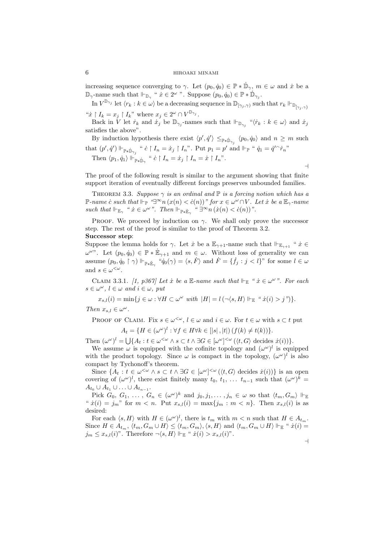increasing sequence converging to  $\gamma$ . Let  $(p_0, \dot{q}_0) \in \mathbb{P} * \dot{\mathbb{D}}_{\gamma}$ ,  $m \in \omega$  and  $\dot{x}$  be a  $\mathbb{D}_{\gamma}$ -name such that  $\Vdash_{\mathbb{D}_{\gamma}}$  "  $x \in 2^{\omega}$  ". Suppose  $(p_0, q_0) \in \mathbb{P} * \dot{\mathbb{D}}_{\gamma_j}$ .

In  $V^{\mathbb{D}_{\gamma_j}}$  let  $\langle r_k : k \in \omega \rangle$  be a decreasing sequence in  $\mathbb{D}_{[\gamma_j, \gamma)}$  such that  $r_k \Vdash_{\mathbb{D}_{[\gamma_j, \gamma)}}$ " $\dot{x} \restriction I_k = x_j \restriction I_k$ " where  $x_j \in 2^\omega \cap V^{\mathbb{D}_{\gamma_j}}$ .

Back in V let  $\dot{r}_k$  and  $\dot{x}_j$  be  $\mathbb{D}_{\gamma_j}$ -names such that  $\Vdash_{\mathbb{D}_{\gamma_j}}$  " $\langle \dot{r}_k : k \in \omega \rangle$  and  $\dot{x}_j$ satisfies the above".

By induction hypothesis there exist  $\langle p', \dot{q}' \rangle \leq_{\mathbb{P} * \dot{\mathbb{D}}_{\gamma_j}} \langle p_0, \dot{q}_0 \rangle$  and  $n \geq m$  such that  $(p', \dot{q}') \Vdash_{\mathbb{P} * \dot{\mathbb{D}}_{\gamma_j}}$  "  $\dot{c} \restriction I_n = \dot{x}_j \restriction I_n$ ". Put  $p_1 = p'$  and  $\Vdash_{\mathbb{P}}$  "  $\dot{q}_1 = \dot{q}' \hat{r}_n$ " Then  $\langle p_1, \dot{q}_1 \rangle \Vdash_{\mathbb{P} * \dot{\mathbb{D}}_{\gamma}}$  "  $\dot{c} \restriction I_n = \dot{x}_j \restriction I_n = \dot{x} \restriction I_n$ ".

The proof of the following result is similar to the argument showing that finite support iteration of eventually different forcings preserves unbounded families.

THEOREM 3.3. Suppose  $\gamma$  is an ordinal and  $\mathbb P$  is a forcing notion which has a P-name c̀ such that  $\Vdash_{\mathbb{P}} \mathcal{L}^{\infty} n(x(n) < c(n))$ " for  $x \in \omega^{\omega} \cap V$ . Let  $x$  be a  $\mathbb{E}_{\gamma}$ -name such that  $\Vdash_{\mathbb{E}_\gamma}$  "  $\dot{x} \in \omega^\omega$ ". Then  $\Vdash_{\mathbb{P} * \dot{\mathbb{E}}_\gamma}$  "  $\exists^\infty n \left( \dot{x}(n) < \dot{c}(n) \right)$ ".

PROOF. We proceed by induction on  $\gamma$ . We shall only prove the successor step. The rest of the proof is similar to the proof of Theorem 3.2.

# Successor step:

Suppose the lemma holds for  $\gamma$ . Let  $\dot{x}$  be a  $\mathbb{E}_{\gamma+1}$ -name such that  $\Vdash_{\mathbb{E}_{\gamma+1}}$  " $\dot{x} \in$  $\omega^{\omega}$ ". Let  $(p_0, \dot{q}_0) \in \mathbb{P} * \dot{\mathbb{E}}_{\gamma+1}$  and  $m \in \omega$ . Without loss of generality we can assume  $(p_0, \dot{q}_0 \restriction \gamma) \Vdash_{\mathbb{P} * \dot{\mathbb{E}}_\gamma} \text{``}\dot{q}_0(\gamma) = \langle s, \dot{F} \rangle \text{ and } \dot{F} = \{ \dot{f}_j : j < l \}$ " for some  $l \in \omega$ and  $s \in \omega^{\lt \omega}$ .

CLAIM 3.3.1. [1, p367] Let  $\dot{x}$  be a E-name such that  $\Vdash_{\mathbb{E}}$  " $\dot{x} \in \omega^{\omega}$ ". For each  $s \in \omega^{\omega}, l \in \omega \text{ and } i \in \omega, \text{ put}$ 

 $x_{s,l}(i) = \min\{j \in \omega : \forall H \subset \omega^\omega \text{ with } |H| = l(\neg \langle s, H \rangle \Vdash_{\mathbb{E}} \text{``$\dot{x}(i) > j$''}\}.$ 

Then  $x_{s,l} \in \omega^{\omega}$ .

PROOF OF CLAIM. Fix  $s \in \omega^{\langle \omega \rangle}, l \in \omega$  and  $i \in \omega$ . For  $t \in \omega$  with  $s \subset t$  put  $A_t = \{H \in (\omega^\omega)^l : \forall f \in H \forall k \in [|s|, |t|) (f(k) \neq t(k))\}.$ 

Then  $(\omega^{\omega})^l = \bigcup \{A_t : t \in \omega^{<\omega} \land s \subset t \land \exists G \in [\omega^{\omega}]^{<\omega} (\langle t, G \rangle \text{ decides } \dot{x}(i))\}.$ 

We assume  $\omega$  is equipped with the cofinite topology and  $(\omega^{\omega})^l$  is equipped with the product topology. Since  $\omega$  is compact in the topology,  $(\omega^{\omega})^l$  is also compact by Tychonoff's theorem.

Since  $\{A_t : t \in \omega^{\leq \omega} \wedge s \subset t \wedge \exists G \in [\omega^\omega]^{<\omega} (\langle t, G \rangle \text{ decides } \dot{x}(i))\}$  is an open covering of  $(\omega^{\omega})^l$ , there exist finitely many  $t_0, t_1, \ldots t_{n-1}$  such that  $(\omega^{\omega})^k =$  $A_{t_0}\cup A_{t_1}\cup \ldots \cup A_{t_{n-1}}.$ 

Pick  $G_0, G_1, \ldots, G_n \in (\omega^\omega)^k$  and  $j_0, j_1, \ldots, j_n \in \omega$  so that  $\langle t_m, G_m \rangle \Vdash_{\mathbb{E}}$ " $\dot{x}(i) = j_m$ " for  $m < n$ . Put  $x_{s,l}(i) = \max\{j_m : m < n\}$ . Then  $x_{s,l}(i)$  is as desired:

For each  $\langle s, H \rangle$  with  $H \in (\omega^\omega)^l$ , there is  $t_m$  with  $m < n$  such that  $H \in A_{t_m}$ . Since  $H \in A_{t_m}$ ,  $\langle t_m, G_m \cup H \rangle \leq \langle t_m, G_m \rangle$ ,  $\langle s, H \rangle$  and  $\langle t_m, G_m \cup H \rangle \Vdash_{\mathbb{E}} \text{`` } \dot{x}(i) =$  $j_m \leq x_{s,l}(i)$ ". Therefore  $\neg \langle s, H \rangle \Vdash_{\mathbb{E}} \text{`` } \dot{x}(i) > x_{s,l}(i)$ ".

 $\overline{a}$ 

 $\overline{a}$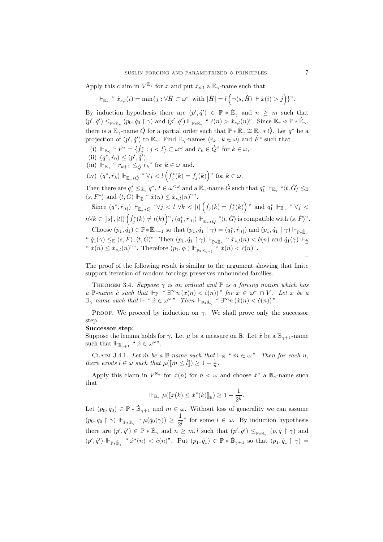Apply this claim in  $V^{\mathbb{E}_{\gamma}}$  for  $\dot{x}$  and put  $\dot{x}_{s,l}$  a  $\mathbb{E}_{\gamma}$ -name such that  $\overline{a}$ 

$$
\Vdash_{\mathbb{E}_{\gamma}} \text{`` } \dot{x}_{s,l}(i) = \min\{j : \forall \dot{H} \subset \omega^{\omega} \text{ with } |\dot{H}| = l\left(\neg \langle s, \dot{H} \rangle \Vdash \dot{x}(i) > j\right)\}.
$$

By induction hypothesis there are  $(p', \dot{q}') \in \mathbb{P} * \dot{\mathbb{E}}_{\gamma}$  and  $n \geq m$  such that  $(p',\dot{q}') \leq_{\mathbb{P} * \dot{\mathbb{E}}_{\gamma}} (p_0, \dot{q}_0 \restriction \gamma)$  and  $(p',\dot{q}') \Vdash_{\mathbb{P} * \dot{\mathbb{E}}_{\gamma}} \text{`` } \dot{c}(n) > \dot{x}_{s,l}(n)$ ". Since  $\mathbb{E}_{\gamma} \leq \mathbb{P} * \dot{\mathbb{E}}_{\gamma}$ , there is a  $\mathbb{E}_{\gamma}$ -name  $\dot{Q}$  for a partial order such that  $\mathbb{P} * \dot{\mathbb{E}}_{\gamma} \cong \mathbb{E}_{\gamma} * \dot{Q}$ . Let  $q^*$  be a projection of  $(p', q')$  to  $\mathbb{E}_{\gamma}$ . Find  $\mathbb{E}_{\gamma}$ -names  $\langle r_k : k \in \omega \rangle$  and  $\dot{F}^*$  such that

- (i)  $\Vdash_{\mathbb{E}_{\gamma}}$  "  $\dot{F}^* = \{\dot{f}_j^* : j < l\} \subset \omega^\omega$  and  $\dot{r}_k \in \dot{Q}$ " for  $k \in \omega$ ,
- (ii)  $(q^*, \dot{r}_0) \leq (p', \dot{q}'),$
- (iii)  $\Vdash_{\mathbb{E}_{\gamma}}$  "  $\dot{r}_{k+1} \leq_{\dot{Q}} \dot{r}_k$ " for  $k \in \omega$  and,
- (iv)  $(q^*, \dot{r}_k) \Vdash_{\mathbb{E}_\gamma * \dot{Q}} \lq \lq \forall j < l \left( \dot{f}_j^*(k) = \dot{f}_j(k) \right)$ " for  $k \in \omega$ .

Then there are  $q_1^* \leq_{\mathbb{E}_\gamma} q^*$ ,  $t \in \omega^{\leq \omega}$  and a  $\mathbb{E}_\gamma$ -name  $\dot{G}$  such that  $q_1^* \Vdash_{\mathbb{E}_\gamma}$  " $\langle t, \dot{G} \rangle \leq_{\mathbb{E}_\gamma}$  $\langle s, \dot{F}^* \rangle$  and  $\langle t, \dot{G} \rangle \Vdash_{\dot{\mathbb{E}}}$  "  $\dot{x}(n) \leq \dot{x}_{s,l}(n)$ "".  $\overline{a}$ ´

´

Since  $(q^*, \dot{r}_{|t|}) \Vdash_{\mathbb{E}_{\gamma} * \dot{Q}} \text{``}\forall j < l \ \forall k < |t|$  $\dot{f}_j(k) = \dot{f}_j^*(k)$  $\|f\|_{\mathbb{E}_\gamma*\dot{Q}} \ \ \hbox{``$\forall j< l$} \ \forall k<|t|\left(\dot{f}_j(k)=\dot{f}^*_j(k)\right)\text{''} \ \ \hbox{and} \ \ q_1^*\parallel_{\mathbb{E}_\gamma} \ \ \hbox{``$\forall j< l$}$  $n \forall k \in [\lfloor s \rfloor, \lceil t \rceil) \left( \dot{f}_j^*(k) \neq t(k) \right)$ ",  $(q_1^*, \dot{r}_{\lceil t \rceil}) \Vdash_{\mathbb{E}_\gamma * \dot{Q}}$  " $\langle t, \dot{G} \rangle$  is compatible with  $\langle s, \dot{F} \rangle$ ".

Choose 
$$
(p_1, \dot{q}_1) \in \mathbb{P} * \dot{\mathbb{E}}_{\gamma+1}
$$
 so that  $(p_1, \dot{q}_1 \upharpoonright \gamma) = (q_1^*, \dot{r}_{|t|})$  and  $(p_1, \dot{q}_1 \upharpoonright \gamma) \Vdash_{\mathbb{P} * \dot{\mathbb{E}}_{\gamma}}$   
"  $\dot{q}_1(\gamma) \leq_{\mathbb{E}} \langle s, \dot{F} \rangle$ ,  $\langle t, \dot{G} \rangle$ ". Then  $(p_1, \dot{q}_1 \upharpoonright \gamma) \Vdash_{\mathbb{P} * \dot{\mathbb{E}}_{\gamma}}$  "  $\dot{x}_{s,l}(n) < \dot{c}(n)$  and  $\dot{q}_1(\gamma) \Vdash_{\dot{\mathbb{E}}}$   
"  $\dot{x}(n) \leq \dot{x}_{s,l}(n)$ "". Therefore  $(p_1, \dot{q}_1) \Vdash_{\mathbb{P} * \dot{\mathbb{E}}_{\gamma+1}}$  "  $\dot{x}(n) < \dot{c}(n)$ ".

The proof of the following result is similar to the argument showing that finite support iteration of random forcings preserves unbounded families.

THEOREM 3.4. Suppose  $\gamma$  is an ordinal and  $\mathbb P$  is a forcing notion which has a P-name c̀ such that  $\Vdash_{\mathbb{P}}$  "  $\exists^{\infty} n (x(n) < c(n))$ " for  $x \in \omega^{\omega} \cap V$ . Let  $\dot{x}$  be a  $\mathbb{B}_{\gamma}$ -name such that  $\Vdash$  " $\dot{x} \in \omega^{\omega}$ ". Then  $\Vdash_{\mathbb{P} * \dot{\mathbb{B}}_{\gamma}}$  " $\exists^{\infty} n \left( \dot{x}(n) < \dot{c}(n) \right)$ ".

PROOF. We proceed by induction on  $\gamma$ . We shall prove only the successor step.

### Successor step:

Suppose the lemma holds for  $\gamma$ . Let  $\mu$  be a measure on B. Let  $\dot{x}$  be a  $\mathbb{B}_{\gamma+1}$ -name such that  $\Vdash_{\mathbb{B}_{\gamma+1}}$  "  $\dot{x} \in \omega^{\omega}$ ".

CLAIM 3.4.1. Let m be a B-name such that  $\Vdash_{\mathbb{B}}$  "  $m \in \omega$ ". Then for each n, there exists  $l \in \omega$  such that  $\mu([\![\dot{m} \leq \check{l}]\!]) \geq 1 - \frac{1}{n}$ .

Apply this claim in  $V^{\mathbb{B}_{\gamma}}$  for  $\dot{x}(n)$  for  $n < \omega$  and choose  $\dot{x}^*$  a  $\mathbb{B}_{\gamma}$ -name such that

$$
\Vdash_{\mathbb{B}_{\gamma}} \mu([\![\dot{x}(k)\leq \dot{x}^*(k)]\!]_{\dot{\mathbb{B}}}) \geq 1 - \frac{1}{2^k}.
$$

Let  $(p_0, \dot{q}_0) \in \mathbb{P} * \dot{\mathbb{B}}_{\gamma+1}$  and  $m \in \omega$ . Without loss of generality we can assume  $(p_0, \dot{q}_0 \restriction \gamma) \Vdash_{\mathbb{P} * \dot{\mathbb{B}}_{\gamma}} \text{`` } \mu(\dot{q}_0(\gamma)) \geq \frac{1}{2\delta}$  $\frac{1}{2^l}$ " for some  $l \in \omega$ . By induction hypothesis there are  $(p', \dot{q}') \in \mathbb{P} * \dot{\mathbb{B}}_{\gamma}$  and  $n \geq m, l$  such that  $(p', \dot{q}') \leq_{\mathbb{P} * \dot{\mathbb{B}}_{\gamma}} (p, \dot{q} \restriction \gamma)$  and  $(p',\dot{q}') \Vdash_{\mathbb{P} * \dot{\mathbb{B}}_{\gamma}}$  " $\dot{x}^*(n) < \dot{c}(n)$ ". Put  $(p_1,\dot{q}_1) \in \mathbb{P} * \dot{\mathbb{B}}_{\gamma+1}$  so that  $(p_1,\dot{q}_1 \upharpoonright \gamma) =$ 

 $\overline{a}$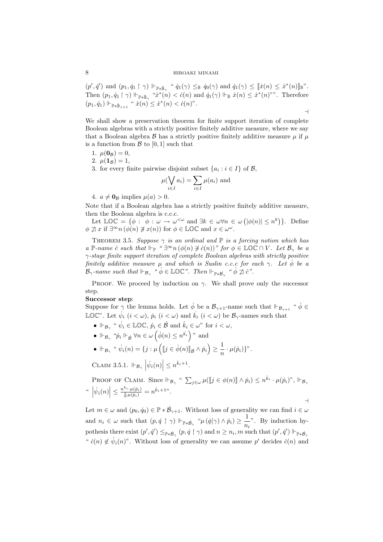$(p', \dot{q}')$  and  $(p_1, \dot{q}_1 \restriction \gamma) \Vdash_{\mathbb{P} \ast \dot{\mathbb{B}}_{\gamma}} \text{`` } \dot{q}_1(\gamma) \leq_{\mathbb{B}} \dot{q}_0(\gamma)$  and  $\dot{q}_1(\gamma) \leq [\![\dot{x}(n) \leq \dot{x}^*(n)]\!]_{\mathbb{B}}$ ". Then  $(p_1, \dot{q}_1 \upharpoonright \gamma) \Vdash_{\mathbb{P} * \dot{\mathbb{B}}_\gamma}$  " $\dot{x}^*(n) < \dot{c}(n)$  and  $\dot{q}_1(\gamma) \Vdash_{\mathbb{B}} \dot{x}(n) \leq \dot{x}^*(n)$ "". Therefore  $(p_1, \dot{q}_1) \Vdash_{\mathbb{P} * \dot{\mathbb{B}}_{\gamma+1}} " \dot{x}(n) \leq \dot{x}^*(n) < \dot{c}(n)$ ".

 $\overline{a}$ 

We shall show a preservation theorem for finite support iteration of complete Boolean algebras with a strictly positive finitely additive measure, where we say that a Boolean algebra  $\beta$  has a strictly positive finitely additive measure  $\mu$  if  $\mu$ is a function from  $\mathcal{B}$  to [0, 1] such that

- 1.  $\mu(\mathbf{0}_B) = 0$ ,
- 2.  $\mu(\mathbf{1}_\mathcal{B}) = 1$ ,
- 3. for every finite pairwise disjoint subset  $\{a_i : i \in I\}$  of  $\mathcal{B}$ ,

$$
\mu(\bigvee_{i \in I} a_i) = \sum_{i \in I} \mu(a_i)
$$
 and

4.  $a \neq \mathbf{0}_B$  implies  $\mu(a) > 0$ .

Note that if a Boolean algebra has a strictly positive finitely additive measure, then the Boolean algebra is c.c.c.

en the Boolean algebra is c.c.c.<br>Let LOC = { $\phi$  :  $\phi$  :  $\omega \to \omega^{<\omega}$  and  $\exists k \in \omega \forall n \in \omega$  (  $|\phi(n)| \leq n^k$ }. Define  $\phi \not\supseteq x$  if  $\exists^{\infty} n (\phi(n) \not\ni x(n))$  for  $\phi \in \mathbb{LOC}$  and  $x \in \omega^{\omega}$ .

THEOREM 3.5. Suppose  $\gamma$  is an ordinal and  $\mathbb P$  is a forcing notion which has a P-name c̀ such that  $\Vdash_{\mathbb{P}}$  "  $\exists^{\infty} n (\phi(n) \not\ni c(n))$ " for  $\phi \in \mathbb{LOC} \cap V$ . Let  $\mathcal{B}_{\gamma}$  be a γ-stage finite support iteration of complete Boolean algebras with strictly positive finitely additive measure  $\mu$  and which is Suslin c.c.c for each  $\gamma$ . Let  $\phi$  be a  $\mathcal{B}_{\gamma}$ -name such that  $\Vdash_{\mathcal{B}_{\gamma}}$  "  $\phi \in \mathbb{LOC}$ ". Then  $\Vdash_{\mathbb{P} * \mathcal{B}_{\gamma}}$  "  $\phi \not\supseteq c$ ".

PROOF. We proceed by induction on  $\gamma$ . We shall prove only the successor step.

## Successor step:

Suppose for  $\gamma$  the lemma holds. Let  $\dot{\phi}$  be a  $\mathcal{B}_{\gamma+1}$ -name such that  $\Vdash_{\mathcal{B}_{\gamma+1}}$  " $\dot{\phi} \in$ LOC". Let  $\dot{\psi}_i$   $(i < \omega)$ ,  $\dot{p}_i$   $(i < \omega)$  and  $\dot{k}_i$   $(i < \omega)$  be  $\mathcal{B}_{\gamma}$ -names such that

- $\Vdash_{\mathcal{B}_{\gamma}}$  "  $\dot{\psi}_i \in \mathbb{LOC}$ ,  $\dot{p}_i \in \dot{\mathcal{B}}$  and  $\dot{k}_i \in \omega$ " for  $i < \omega$ ,
- $\Vdash_{\mathcal{B}_\gamma}$  " $\dot{p}_i \Vdash_{\dot{\mathcal{B}}} \forall n \in \omega \left( \dot{\phi}(n) \leq n^{\dot{k}_i} \right)$ " and
- $\Vdash_{\mathcal{B}_\gamma}$  "  $\dot{\psi}_i(n) = \{j : \mu\}$  $\overline{\phantom{a}}$  $[j \in \dot{\phi}(n)]_{\dot{\mathcal{B}}} \wedge \dot{p}_i$ ´  $\geq \frac{1}{1}$  $\frac{1}{n} \cdot \mu(\dot{p}_i) \}$ ".

CLAIM 3.5.1.  $\Vdash_{\mathcal{B}_{\gamma}}$  $\big| \dot{\psi}_i(n) \big|$  $\vert \leq n^{k_i+1}.$ 

PROOF OF CLAIM. Since  $\Vdash_{\mathcal{B}_\gamma}$  "  $\sum_{j\in\omega}\mu(\llbracket j\in\phi(n)\rrbracket \wedge \dot{p}_i) \leq n^{\dot{k}_i}\cdot\mu(\dot{p}_i)$ ",  $\Vdash_{\mathcal{B}_\gamma}$ "  $|\dot{\psi}_i(n)| \leq \frac{n^{k_i} \cdot \mu(\dot{p}_i)}{\frac{1}{n} \mu(\dot{p}_i)} = n^{\dot{k}_i + 1}$ ".  $\overline{\phantom{0}}$ 

Let  $m \in \omega$  and  $(p_0, \dot{q}_0) \in \mathbb{P} * \dot{\mathcal{B}}_{\gamma+1}$ . Without loss of generality we can find  $i \in \omega$ and  $n_i \in \omega$  such that  $(p, \dot{q} \restriction \gamma) \Vdash_{\mathbb{P} * \dot{\mathcal{B}}_{\gamma}} " \mu ( \dot{q}(\gamma) \land \dot{p}_i) \geq \frac{1}{n}$  $\frac{1}{n_i}$ ". By induction hypothesis there exist  $(p', \dot{q}') \leq_{\mathbb{P} * \dot{\mathcal{B}}_{\gamma}} (p, \dot{q} \restriction \gamma)$  and  $n \geq n_i$ , m such that  $(p', \dot{q}') \Vdash_{\mathbb{P} * \dot{\mathcal{B}}_{\gamma}}$ " $\dot{c}(n) \notin \dot{\psi}_i(n)$ ". Without loss of generality we can assume p' decides  $\dot{c}(n)$  and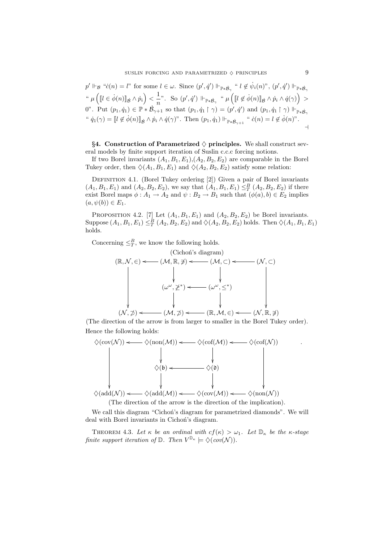$$
p' \Vdash_{\mathcal{B}} "c(n) = l" \text{ for some } l \in \omega. \text{ Since } (p', \dot{q}') \Vdash_{\mathbb{P} * \dot{\mathcal{B}}_{\gamma}} "l \notin \dot{\psi}_i(n)", (p', \dot{q}') \Vdash_{\mathbb{P} * \dot{\mathcal{B}}_{\gamma}}
$$
  
\n"
$$
\mu \left( [l \in \dot{\phi}(n)]_{\dot{\mathcal{B}}} \wedge \dot{p}_i \right) < \frac{1}{n}". \text{ So } (p', \dot{q}') \Vdash_{\mathbb{P} * \dot{\mathcal{B}}_{\gamma}} " \mu \left( [l \notin \dot{\phi}(n)]_{\dot{\mathcal{B}}} \wedge \dot{p}_i \wedge \dot{q}(\gamma) \right) > 0". \text{ Put } (p_1, \dot{q}_1) \in \mathbb{P} * \dot{\mathcal{B}}_{\gamma+1} \text{ so that } (p_1, \dot{q}_1 \upharpoonright \gamma) = (p', \dot{q}') \text{ and } (p_1, \dot{q}_1 \upharpoonright \gamma) \Vdash_{\mathbb{P} * \dot{\mathcal{B}}_{\gamma}}
$$
  
\n"
$$
\dot{q}_1(\gamma) = [l \notin \dot{\phi}(n)]_{\dot{\mathcal{B}}} \wedge \dot{p}_i \wedge \dot{q}(\gamma)". \text{ Then } (p_1, \dot{q}_1) \Vdash_{\mathbb{P} * \dot{\mathcal{B}}_{\gamma+1}} "c(n) = l \notin \dot{\phi}(n)". \rightarrow
$$

§4. Construction of Parametrized  $\diamondsuit$  principles. We shall construct several models by finite support iteration of Suslin c.c.c forcing notions.

If two Borel invariants  $(A_1, B_1, E_1), (A_2, B_2, E_2)$  are comparable in the Borel Tukey order, then  $\Diamond(A_1, B_1, E_1)$  and  $\Diamond(A_2, B_2, E_2)$  satisfy some relation:

DEFINITION 4.1. (Borel Tukey ordering [2]) Given a pair of Borel invariants  $(A_1, B_1, E_1)$  and  $(A_2, B_2, E_2)$ , we say that  $(A_1, B_1, E_1) \leq^B_T (A_2, B_2, E_2)$  if there exist Borel maps  $\phi: A_1 \to A_2$  and  $\psi: B_2 \to B_1$  such that  $(\phi(a), b) \in E_2$  implies  $(a, \psi(b)) \in E_1$ .

PROPOSITION 4.2. [7] Let  $(A_1, B_1, E_1)$  and  $(A_2, B_2, E_2)$  be Borel invariants. Suppose  $(A_1, B_1, E_1) \leq^B_T (A_2, B_2, E_2)$  and  $\Diamond(A_2, B_2, E_2)$  holds. Then  $\Diamond(A_1, B_1, E_1)$ holds.

Concerning  $\leq_T^B$ , we know the following holds.



(The direction of the arrow is from larger to smaller in the Borel Tukey order). Hence the following holds:



(The direction of the arrow is the direction of the implication).

We call this diagram "Cichon's diagram for parametrized diamonds". We will deal with Borel invariants in Cichon's diagram.

THEOREM 4.3. Let  $\kappa$  be an ordinal with  $cf(\kappa) > \omega_1$ . Let  $\mathbb{D}_{\kappa}$  be the  $\kappa$ -stage finite support iteration of  $\mathbb{D}$ . Then  $V^{\mathbb{D}_{\kappa}} \models \Diamond (cov(\mathcal{N}))$ .

.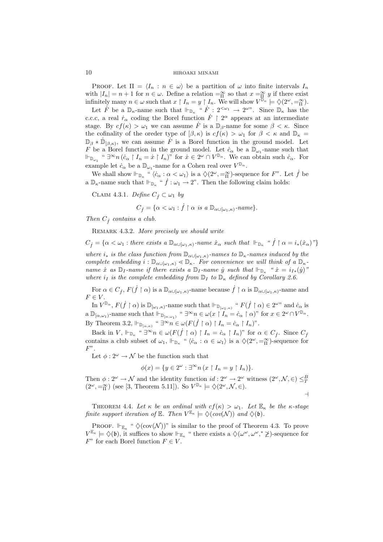PROOF. Let  $\Pi = \langle I_n : n \in \omega \rangle$  be a partition of  $\omega$  into finite intervals  $I_n$ with  $|I_n| = n + 1$  for  $n \in \omega$ . Define a relation  $=_{\Pi}^{\infty}$  so that  $x =_{\Pi}^{\infty} y$  if there exist infinitely many  $n \in \omega$  such that  $x \restriction I_n = y \restriction I_n$ . We will show  $V^{\mathbb{D}_{\kappa}} \models \Diamond(2^{\omega}, =_{\Pi}^{\infty})$ .

Let  $\dot{F}$  be a  $\mathbb{D}_{\kappa}$ -name such that  $\Vdash_{\mathbb{D}_{\kappa}}$  " $\dot{F}: 2^{\langle \omega_1} \to 2^{\omega \nu}$ . Since  $\mathbb{D}_{\kappa}$  has the c.c.c, a real  $\dot{r}_{\alpha}$  coding the Borel function  $\dot{F}$  |  $2^{\alpha}$  appears at an intermediate stage. By  $cf(\kappa) > \omega_1$  we can assume  $\dot{F}$  is a  $\mathbb{D}_{\beta}$ -name for some  $\beta < \kappa$ . Since the cofinality of the oreder type of  $(\beta, \kappa)$  is  $cf(\kappa) > \omega_1$  for  $\beta < \kappa$  and  $\mathbb{D}_{\kappa} =$  $\mathbb{D}_{\beta} * \mathbb{D}_{\beta,\kappa}$ , we can assume  $\hat{F}$  is a Borel function in the ground model. Let F be a Borel function in the ground model. Let  $\dot{c}_{\alpha}$  be a  $\mathbb{D}_{\omega_1}$ -name such that  $\Vdash_{\mathbb{D}_{\omega_1}}$  "  $\exists^{\infty} n (\dot{c}_{\alpha} \restriction I_n = \dot{x} \restriction I_n)$ " for  $\dot{x} \in 2^{\omega} \cap V^{\mathbb{D}_{\alpha}}$ . We can obtain such  $\dot{c}_{\alpha}$ . For example let  $\dot{c}_{\alpha}$  be a  $\mathbb{D}_{\omega_1}$ -name for a Cohen real over  $V^{\mathbb{D}_{\alpha}}$ .

We shall show  $\Vdash_{\mathbb{D}_{\kappa}}$  " $\langle c_{\alpha} : \alpha < \omega_1 \rangle$  is a  $\langle 2^{\omega}, \equiv_{\Pi}^{\infty}$ )-sequence for F". Let  $\dot{f}$  be a  $\mathbb{D}_{\kappa}$ -name such that  $\Vdash_{\mathbb{D}_{\kappa}}$  " $\dot{f} : \omega_1 \to 2$ ". Then the following claim holds:

CLAIM 4.3.1. Define  $C_f \subset \omega_1$  by

$$
C_{\dot{f}} = \{ \alpha < \omega_1 : \dot{f} \upharpoonright \alpha \text{ is a } \mathbb{D}_{\alpha \cup [\omega_1, \kappa)}\text{-}name \}.
$$

Then  $C_i$  contains a club.

REMARK 4.3.2. More precisely we should write

 $C_f = \{ \alpha < \omega_1 : \text{there exists a } \mathbb{D}_{\alpha \cup [\omega_1, \kappa)} \text{-name } \dot{x}_{\alpha} \text{ such that } \Vdash_{\mathbb{D}_{\kappa}} \text{``$\dot{f} \upharpoonright \alpha = i_*(\dot{x}_{\alpha})$''} \}$ 

where  $i_*$  is the class function from  $\mathbb{D}_{\alpha\cup[\omega_1,\kappa)}$ -names to  $\mathbb{D}_{\kappa}$ -names induced by the complete embedding  $i : \mathbb{D}_{\alpha \cup [\omega_1, \kappa)} \triangleleft \mathbb{D}_{\kappa}$ . For convenience we will think of a  $\mathbb{D}_{\kappa}$ name x as  $\mathbb{D}_I$ -name if there exists a  $\mathbb{D}_I$ -name y such that  $\mathbb{H}_{\mathbb{D}_\kappa}$  " $\dot{x} = i_{I*}(\dot{y})$ " where  $i_I$  is the complete embedding from  $\mathbb{D}_I$  to  $\mathbb{D}_\kappa$  defined by Corollary 2.6.

For  $\alpha \in C_f$ ,  $F(\dot{f} \restriction \alpha)$  is a  $\mathbb{D}_{\alpha \cup (\omega_1,\kappa)}$ -name because  $\dot{f} \restriction \alpha$  is  $\mathbb{D}_{\alpha \cup (\omega_1,\kappa)}$ -name and  $F \in V$ 

In  $V^{\mathbb{D}_{\alpha}}, F(\dot{f} \restriction \alpha)$  is  $\mathbb{D}_{[\omega_1,\kappa)}$ -name such that  $\Vdash_{\mathbb{D}_{[\omega_1,\kappa)}}$  "  $F(\dot{f} \restriction \alpha) \in 2^{\omega}$ " and  $\dot{c}_{\alpha}$  is  $a \mathbb{D}_{[\alpha,\omega_1)}$ -name such that  $\vdash_{\mathbb{D}_{[\alpha,\omega_1)}}$  "  $\exists^{\infty} n \in \omega(x \restriction I_n = \dot{c}_{\alpha} \restriction \alpha)$ " for  $x \in 2^{\omega} \cap V^{\mathbb{D}_{\alpha}}$ . By Theorem 3.2,  $\Vdash_{\mathbb{D}_{\lbrack \alpha,\kappa\rbrack}}$  "  $\exists^{\infty}n\in\omega(F(\dot{f}\restriction\alpha)\restriction I_n=\dot{c}_\alpha\restriction I_n)$ ".

Back in V,  $\Vdash_{\mathbb{D}_{\kappa}}$  "  $\exists^{\infty}n \in \omega(F(\dot{f} \restriction \alpha) \restriction I_n = \dot{c}_{\alpha} \restriction I_n)$ " for  $\alpha \in C_{\dot{f}}$ . Since  $C_{\dot{f}}$ contains a club subset of  $\omega_1$ ,  $\Vdash_{\mathbb{D}_{\kappa}}$  " $\langle c_\alpha : \alpha \in \omega_1 \rangle$  is a  $\langle 2^\omega, =_{\Pi}^{\infty}$ )-sequence for  $F$ ".

Let  $\phi: 2^{\omega} \to \mathcal{N}$  be the function such that

$$
\phi(x) = \{ y \in 2^{\omega} : \exists^{\infty} n \left( x \restriction I_n = y \restriction I_n \right) \}.
$$

Then  $\phi: 2^{\omega} \to \mathcal{N}$  and the identity function  $id: 2^{\omega} \to 2^{\omega}$  witness  $(2^{\omega}, \mathcal{N}, \in) \leq^B_T$  $(2^{\omega}, =_{\Pi}^{\infty})$  (see [3, Theorem 5.11]). So  $V^{\mathbb{D}_{\kappa}} \models \Diamond(2^{\omega}, \mathcal{N}, \in)$ .

$$
\dashv
$$

THEOREM 4.4. Let  $\kappa$  be an ordinal with  $cf(\kappa) > \omega_1$ . Let  $\mathbb{E}_{\kappa}$  be the  $\kappa$ -stage finite support iteration of  $\mathbb{E}$ . Then  $V^{\mathbb{E}_{\kappa}} \models \Diamond (cov(\mathcal{N}))$  and  $\Diamond(\mathfrak{b})$ .

PROOF.  $\Vdash_{\mathbb{E}_{\kappa}}$  "  $\diamondsuit(\text{cov}(\mathcal{N}))$ " is similar to the proof of Theorem 4.3. To prove  $V^{\mathbb{E}_{\kappa}} \models \Diamond(\mathfrak{b})$ , it suffices to show  $\Vdash_{\mathbb{E}_{\kappa}}$  " there exists a  $\Diamond(\omega^{\omega}, \omega^{\omega}, \mathscr{Z})$ -sequence for  $F^"$  for each Borel function  $F \in V$ .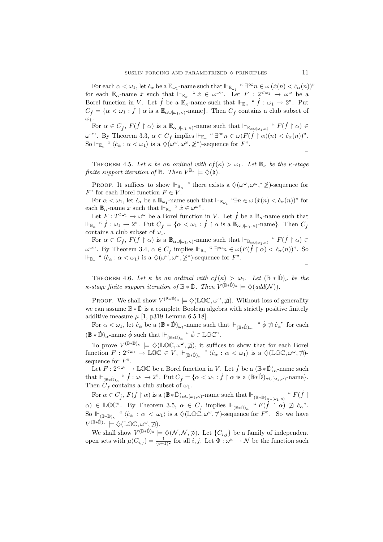For each  $\alpha < \omega_1$ , let  $\dot{c}_\alpha$  be a  $\mathbb{E}_{\omega_1}$ -name such that  $\Vdash_{\mathbb{E}_{\omega_1}}$  " $\exists^\infty n \in \omega$   $(\dot{x}(n) < \dot{c}_\alpha(n))$ " for each  $\mathbb{E}_{\alpha}$ -name  $\dot{x}$  such that  $\Vdash_{\mathbb{E}_{\alpha}}$  " $\dot{x} \in \omega^{\omega}$ ". Let  $F : 2^{<\omega_1} \to \omega^{\omega}$  be a Borel function in V. Let  $\dot{f}$  be a  $\mathbb{E}_{\kappa}$ -name such that  $\Vdash_{\mathbb{E}_{\kappa}}$  " $\dot{f} : \omega_1 \to 2$ ". Put  $C_f = \{ \alpha < \omega_1 : \dot{f} \restriction \alpha \text{ is a } \mathbb{E}_{\alpha \cup [\omega_1, \kappa)} \text{-name} \}.$  Then  $C_f$  contains a club subset of  $\omega_1$ .

For  $\alpha \in C_j$ ,  $F(\dot{f} \restriction \alpha)$  is a  $\mathbb{E}_{\alpha \cup [\omega_1,\kappa)}$ -name such that  $\Vdash_{\mathbb{E}_{\alpha \cup [\omega_1,\kappa)}}$  " $F(\dot{f} \restriction \alpha) \in$  $\omega^{\omega}$ ". By Theorem 3.3,  $\alpha \in C_f$  implies  $\Vdash_{\mathbb{E}_{\kappa}}$  " $\exists^{\infty}n \in \omega(F(\dot{f} \restriction \alpha)(n) < c_{\alpha}(n))$ ". So  $\Vdash_{\mathbb{E}_{\kappa}}$  " $\langle \dot{c}_{\alpha} : \alpha < \omega_1 \rangle$  is a  $\langle \dot{\phi} \dot{\omega}^{\omega}, \omega^{\omega}, \not\geq^* \rangle$ -sequence for  $F$ ".  $\overline{a}$ 

THEOREM 4.5. Let  $\kappa$  be an ordinal with  $cf(\kappa) > \omega_1$ . Let  $\mathbb{B}_{\kappa}$  be the  $\kappa$ -stage finite support iteration of  $\mathbb{B}$ . Then  $V^{\mathbb{B}_{\kappa}} \models \Diamond(\mathfrak{b})$ .

PROOF. It suffices to show  $\Vdash_{\mathbb{B}_{\kappa}}$  " there exists a  $\Diamond(\omega^{\omega}, \omega^{\omega}, \ast \geq)$ -sequence for  $F^"$  for each Borel function  $F \in V$ .

For  $\alpha < \omega_1$ , let  $\dot{c}_\alpha$  be a  $\mathbb{B}_{\omega_1}$ -name such that  $\Vdash_{\mathbb{B}_{\omega_1}}$  " $\exists n \in \omega$   $(\dot{x}(n) < \dot{c}_\alpha(n))$ " for each  $\mathbb{B}_{\alpha}$ -name  $\dot{x}$  such that  $\Vdash_{\mathbb{B}_{\alpha}}$  "  $\dot{x} \in \omega^{\omega}$ ".

Let  $F: 2^{\langle \omega_1} \to \omega^\omega$  be a Borel function in V. Let  $\dot{f}$  be a  $\mathbb{B}_{\kappa}$ -name such that  $\Vdash_{\mathbb{B}_{\kappa}} \text{`` } \dot{f}: \omega_1 \to 2$ ". Put  $C_{\dot{f}} = \{ \alpha < \omega_1 : \dot{f} \restriction \alpha \text{ is a } \mathbb{B}_{\alpha \cup [\omega_1, \kappa)}\text{-name} \}.$  Then  $C_{\dot{f}}$ contains a club subset of  $\omega_1$ .

For  $\alpha \in C_j$ ,  $F(\dot{f} \restriction \alpha)$  is a  $\mathbb{B}_{\alpha \cup [\omega_1,\kappa)}$ -name such that  $\Vdash_{\mathbb{B}_{\alpha \cup [\omega_1,\kappa)}}$  " $F(\dot{f} \restriction \alpha) \in$  $ω<sup>ω</sup>$ . By Theorem 3.4,  $α ∈ C<sub>f</sub>$  implies  $vdash_{\mathbb{B}_κ}$  "  $\exists^∞n ∈ ω(F(\dot{f} ∣ α) < \dot{c}_α(n))$ ". So  $\Vdash_{\mathbb{B}_{\kappa}}$  "  $\langle \dot{c}_{\alpha} : \alpha < \omega_1 \rangle$  is a  $\Diamond(\omega^{\omega}, \omega^{\omega}, \not\geq^*)$ -sequence for  $F$ ".  $\overline{a}$ 

THEOREM 4.6. Let  $\kappa$  be an ordinal with  $cf(\kappa) > \omega_1$ . Let  $(\mathbb{B} * \mathbb{D})_{\kappa}$  be the  $\kappa$ -stage finite support iteration of  $\mathbb{B} * \dot{\mathbb{D}}$ . Then  $V^{(\mathbb{B} * \dot{\mathbb{D}})_{\kappa}} \models \Diamond (add(N)).$ 

PROOF. We shall show  $V^{(\mathbb{B}*\dot{\mathbb{D}})_{\kappa}} \models \Diamond(\mathbb{LOC}, \omega^{\omega}, \mathcal{I})$ . Without loss of generality we can assume  $\mathbb{B} * \dot{\mathbb{D}}$  is a complete Boolean algebra with strictly positive finitely additive measure  $\mu$  [1, p319 Lemma 6.5.18].

For  $\alpha < \omega_1$ , let  $c_\alpha$  be a  $(\mathbb{B} * \mathbb{D})_{\omega_1}$ -name such that  $\Vdash_{(\mathbb{B} * \mathbb{D})_{\omega_1}} " \dot{\phi} \not\supseteq c_\alpha"$  for each  $(\mathbb{B} * \mathbb{D})_{\alpha}$ -name  $\dot{\phi}$  such that  $\Vdash_{(\mathbb{B} * \mathbb{D})_{\alpha}}$  "  $\dot{\phi} \in \mathbb{LOC}$ ".

To prove  $V^{(\mathbb{B}*\dot{\mathbb{D}})_{\kappa}} \models \Diamond(\mathbb{LOC}, \omega^{\omega}, \phi)$ , it suffices to show that for each Borel function  $F: 2^{<\omega_1} \to \mathbb{LOC} \in V$ ,  $\Vdash_{(\mathbb{B}*\mathbb{D})_\kappa}$  " $\langle c_\alpha : \alpha < \omega_1 \rangle$  is a  $\Diamond(\mathbb{LOC}, \omega^\omega, \mathcal{I})$ sequence for  $F$ ".

Let  $F: 2^{\langle \omega_1} \to \mathbb{LOC}$  be a Borel function in V. Let  $\dot{f}$  be a  $(\mathbb{B} * \dot{\mathbb{D}})_\kappa$ -name such that  $\Vdash_{(\mathbb{B}*\dot{\mathbb{D}})_\kappa}$  "  $\dot{f} : \omega_1 \to 2$ ". Put  $C_{\dot{f}} = {\alpha < \omega_1 : \dot{f} \restriction \alpha}$  is a  $(\mathbb{B}*\dot{\mathbb{D}})_{\alpha \cup [\omega_1,\kappa)}$ -name}. Then  $C_f$  contains a club subset of  $\omega_1$ .

For  $\alpha \in C_f$ ,  $F(\dot{f} \restriction \alpha)$  is a  $(\mathbb{B} * \dot{\mathbb{D}})_{\alpha \cup [\omega_1, \kappa)}$ -name such that  $\Vdash_{(\mathbb{B} * \dot{\mathbb{D}})_{\alpha \cup [\omega_1, \kappa)}}$  "  $F(\dot{f} \restriction \alpha)$  $\alpha$ )  $\in \mathbb{LOC}^n$ . By Theorem 3.5,  $\alpha \in C_j$  implies  $\Vdash_{(\mathbb{B}*\dot{\mathbb{D}})_\kappa}$  " $F(\dot{f} \restriction \alpha) \not\supseteq \dot{c}_\alpha$ ". So  $\Vdash_{(\mathbb{B}*\dot{\mathbb{D}})_{\kappa}}$  " $\langle \dot{c}_{\alpha} : \alpha < \omega_1 \rangle$  is a  $\Diamond(\mathbb{LO} \check{\mathbb{C}}, \omega^{\omega}, \sharp)$ -sequence for F". So we have  $V^{(\mathbb{B}*\dot{\mathbb{D}})_{\kappa}} \models \Diamond(\mathbb{LOC}, \omega^{\omega}, \not\exists).$ 

We shall show  $V^{(\mathbb{B}*\dot{\mathbb{D}})_{\kappa}} \models \Diamond(\mathcal{N}, \mathcal{N}, \not\supset)$ . Let  $\{C_{i,j}\}\$ be a family of independent open sets with  $\mu(C_{i,j}) = \frac{1}{(i+1)^2}$  for all i, j. Let  $\Phi: \omega^{\omega} \to \mathcal{N}$  be the function such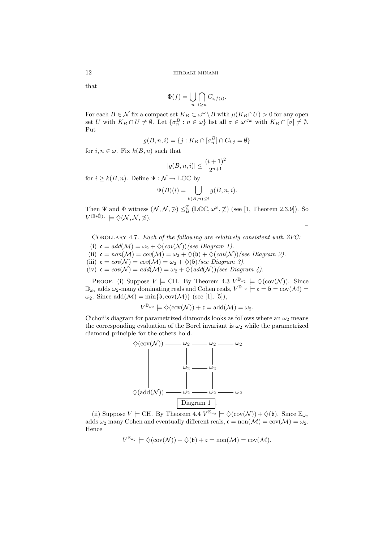that

$$
\Phi(f) = \bigcup_{n} \bigcap_{i \geq n} C_{i, f(i)}.
$$

For each  $B \in \mathcal{N}$  fix a compact set  $K_B \subset \omega^\omega \setminus B$  with  $\mu(K_B \cap U) > 0$  for any open set U with  $K_B \cap U \neq \emptyset$ . Let  $\{\sigma_n^B : n \in \omega\}$  list all  $\sigma \in \omega^{\langle \omega \rangle}$  with  $K_B \cap [\sigma] \neq \emptyset$ . Put

$$
g(B, n, i) = \{j : K_B \cap [\sigma_n^B] \cap C_{i,j} = \emptyset\}
$$

for  $i, n \in \omega$ . Fix  $k(B, n)$  such that

$$
|g(B,n,i)| \leq \frac{(i+1)^2}{2^{n+1}}
$$

for  $i \geq k(B, n)$ . Define  $\Psi : \mathcal{N} \to \mathbb{LOC}$  by

$$
\Psi(B)(i) = \bigcup_{k(B,n) \leq i} g(B,n,i).
$$

Then  $\Psi$  and  $\Phi$  witness  $(\mathcal{N}, \mathcal{N}, \mathcal{D}) \leq_B^T (\mathbb{LOC}, \omega^\omega, \mathcal{D})$  (see [1, Theorem 2.3.9]). So  $V^{(\mathbb{B}*\dot{\mathbb{D}})_{\kappa}} \models \diamondsuit(\mathcal{N},\mathcal{N},\not\supset).$ 

 $\overline{a}$ 

COROLLARY 4.7. Each of the following are relatively consistent with ZFC:

(i)  $\mathfrak{c} = add(\mathcal{M}) = \omega_2 + \diamondsuit (cov(\mathcal{N}))$  (see Diagram 1). (ii)  $\mathfrak{c} = \text{non}(\mathcal{M}) = \text{cov}(\mathcal{M}) = \omega_2 + \diamondsuit(\mathfrak{b}) + \diamondsuit(\text{cov}(\mathcal{N}))(see \ Diagram 2).$ (iii)  $\mathfrak{c} = cov(\mathcal{N}) = cov(\mathcal{M}) = \omega_2 + \Diamond(\mathfrak{b})$  (see Diagram 3).

(iv)  $\mathfrak{c} = cov(\mathcal{N}) = add(\mathcal{M}) = \omega_2 + \Diamond (add(\mathcal{N}))(see \ Diagram 4).$ 

PROOF. (i) Suppose  $V \models \text{CH. By Theorem 4.3 } V^{\mathbb{D}_{\omega_2}} \models \Diamond(\text{cov}(\mathcal{N}))$ . Since  $\mathbb{D}_{\omega_2}$  adds  $\omega_2$ -many dominating reals and Cohen reals,  $V^{\mathbb{D}_{\omega_2}} \models \mathfrak{c} = \mathfrak{b} = \text{cov}(\mathcal{M}) =$  $\omega_2$ . Since  $\text{add}(\mathcal{M}) = \min\{\mathfrak{b}, \text{cov}(\mathcal{M})\}$  (see [1], [5]),

$$
V^{\mathbb{D}_{\omega_2}} \models \diamondsuit(\text{cov}(\mathcal{N})) + \mathfrak{c} = \text{add}(\mathcal{M}) = \omega_2.
$$

Cichon's diagram for parametrized diamonds looks as follows where an  $\omega_2$  means the corresponding evaluation of the Borel invariant is  $\omega_2$  while the parametrized diamond principle for the others hold.



(ii) Suppose  $V \models \text{CH. By Theorem 4.4 } V^{\mathbb{E}_{\omega_2}} \models \Diamond(\text{cov}(\mathcal{N})) + \Diamond(\mathfrak{b})$ . Since  $\mathbb{E}_{\omega_2}$ adds  $\omega_2$  many Cohen and eventually different reals,  $\mathfrak{c} = \text{non}(\mathcal{M}) = \text{cov}(\mathcal{M}) = \omega_2$ . Hence

$$
V^{\mathbb{E}_{\omega_2}} \models \diamondsuit(\text{cov}(\mathcal{N})) + \diamondsuit(\mathfrak{b}) + \mathfrak{c} = \text{non}(\mathcal{M}) = \text{cov}(\mathcal{M}).
$$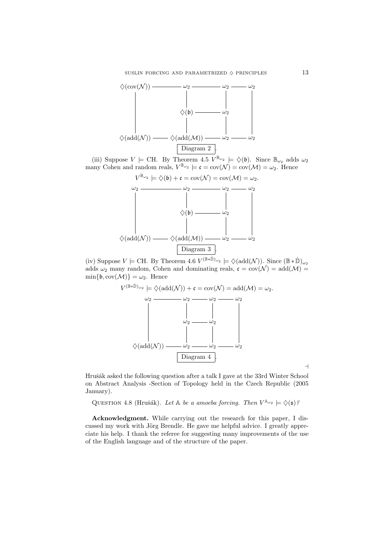

(iii) Suppose  $V \models$  CH. By Theorem 4.5  $V^{\mathbb{B}_{\omega_2}} \models \Diamond(\mathfrak{b})$ . Since  $\mathbb{B}_{\omega_2}$  adds  $\omega_2$ many Cohen and random reals,  $V^{\mathbb{B}_{\omega_2}} \models \mathfrak{c} = \text{cov}(\mathcal{N}) = \text{cov}(\mathcal{M}) = \omega_2$ . Hence



(iv) Suppose  $V \models \text{CH. By Theorem 4.6 } V^{(\mathbb{B} * \mathbb{D})_{\omega_2}} \models \Diamond(\text{add}(\mathcal{N}))$ . Since  $(\mathbb{B} * \mathbb{D})_{\omega_2}$ adds  $\omega_2$  many random, Cohen and dominating reals,  $\mathfrak{c} = \text{cov}(\mathcal{N}) = \text{add}(\mathcal{M}) =$  $\min\{\mathfrak{b}, \text{cov}(\mathcal{M})\} = \omega_2$ . Hence



 $\overline{a}$ 

Hrušák asked the following question after a talk I gave at the 33rd Winter School on Abstract Analysis -Section of Topology held in the Czech Republic (2005 January).

QUESTION 4.8 (Hrušák). Let A be a amoeba forcing. Then  $V^{\mathbb{A}_{\omega_2}} \models \Diamond(\mathfrak{s})$ ?

Acknowledgment. While carrying out the research for this paper, I discussed my work with Jörg Brendle. He gave me helpful advice. I greatly appreciate his help. I thank the referee for suggesting many improvements of the use of the English language and of the structure of the paper.